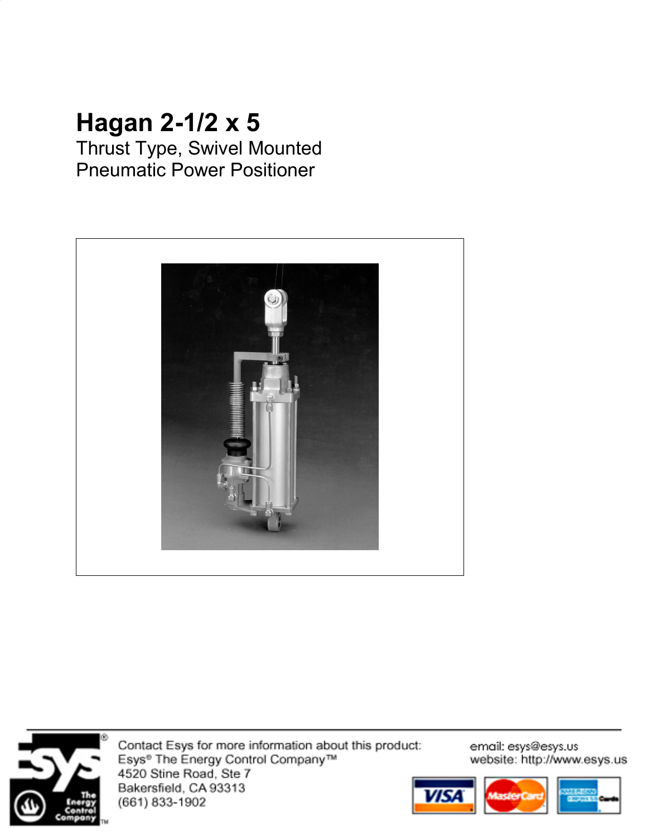# **Hagan 2-1/2 x 5**

Thrust Type, Swivel Mounted Pneumatic Power Positioner





Contact Esys for more information about this product: Esys<sup>®</sup> The Energy Control Company™ 4520 Stine Road, Ste 7 Bakersfield, CA 93313<br>(661) 833-1902

email: esys@esys.us website: http://www.esys.us